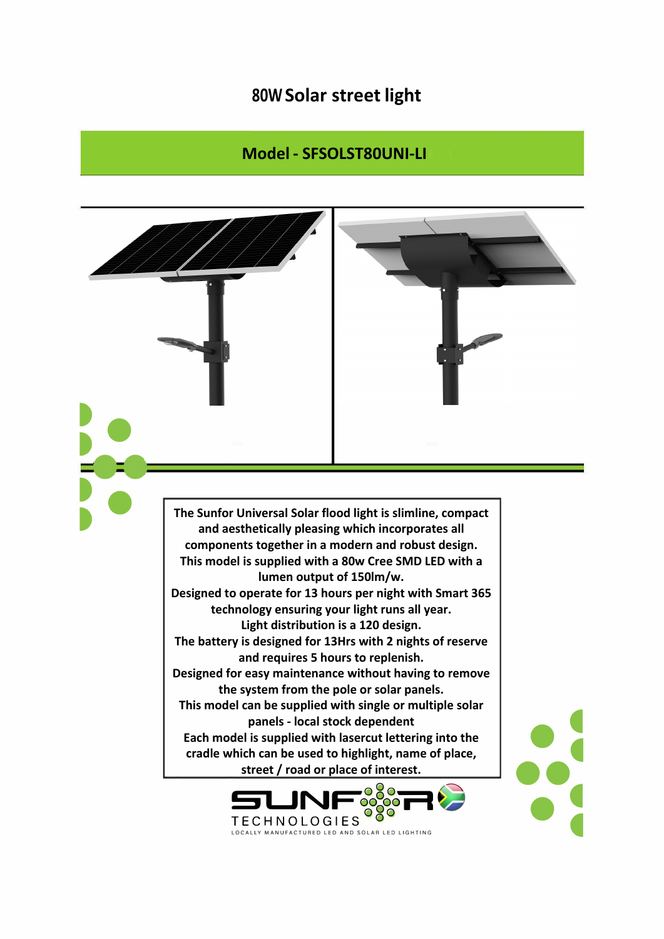## **80W Solar street light**

## **Model - SFSOLST80UNI-LI**